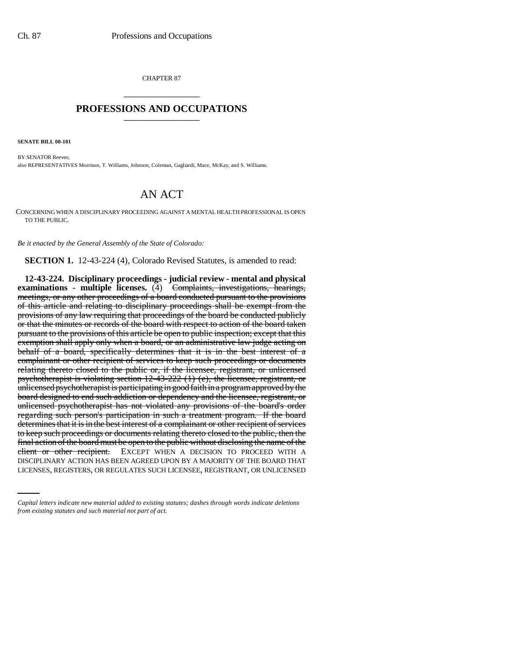CHAPTER 87 \_\_\_\_\_\_\_\_\_\_\_\_\_\_\_

## **PROFESSIONS AND OCCUPATIONS** \_\_\_\_\_\_\_\_\_\_\_\_\_\_\_

**SENATE BILL 00-101** 

BY SENATOR Reeves; also REPRESENTATIVES Morrison, T. Williams, Johnson, Coleman, Gagliardi, Mace, McKay, and S. Williams.

## AN ACT

CONCERNING WHEN A DISCIPLINARY PROCEEDING AGAINST A MENTAL HEALTH PROFESSIONAL IS OPEN TO THE PUBLIC.

*Be it enacted by the General Assembly of the State of Colorado:*

**SECTION 1.** 12-43-224 (4), Colorado Revised Statutes, is amended to read:

client or other recipient. EXCEPT WHEN A DECISION TO PROCEED WITH A **12-43-224. Disciplinary proceedings - judicial review - mental and physical examinations - multiple licenses.** (4) Complaints, investigations, hearings, meetings, or any other proceedings of a board conducted pursuant to the provisions of this article and relating to disciplinary proceedings shall be exempt from the provisions of any law requiring that proceedings of the board be conducted publicly or that the minutes or records of the board with respect to action of the board taken pursuant to the provisions of this article be open to public inspection; except that this exemption shall apply only when a board, or an administrative law judge acting on behalf of a board, specifically determines that it is in the best interest of a complainant or other recipient of services to keep such proceedings or documents relating thereto closed to the public or, if the licensee, registrant, or unlicensed psychotherapist is violating section 12-43-222 (1) (e), the licensee, registrant, or unlicensed psychotherapist is participating in good faith in a program approved by the board designed to end such addiction or dependency and the licensee, registrant, or unlicensed psychotherapist has not violated any provisions of the board's order regarding such person's participation in such a treatment program. If the board determines that it is in the best interest of a complainant or other recipient of services to keep such proceedings or documents relating thereto closed to the public, then the final action of the board must be open to the public without disclosing the name of the DISCIPLINARY ACTION HAS BEEN AGREED UPON BY A MAJORITY OF THE BOARD THAT LICENSES, REGISTERS, OR REGULATES SUCH LICENSEE, REGISTRANT, OR UNLICENSED

*Capital letters indicate new material added to existing statutes; dashes through words indicate deletions from existing statutes and such material not part of act.*